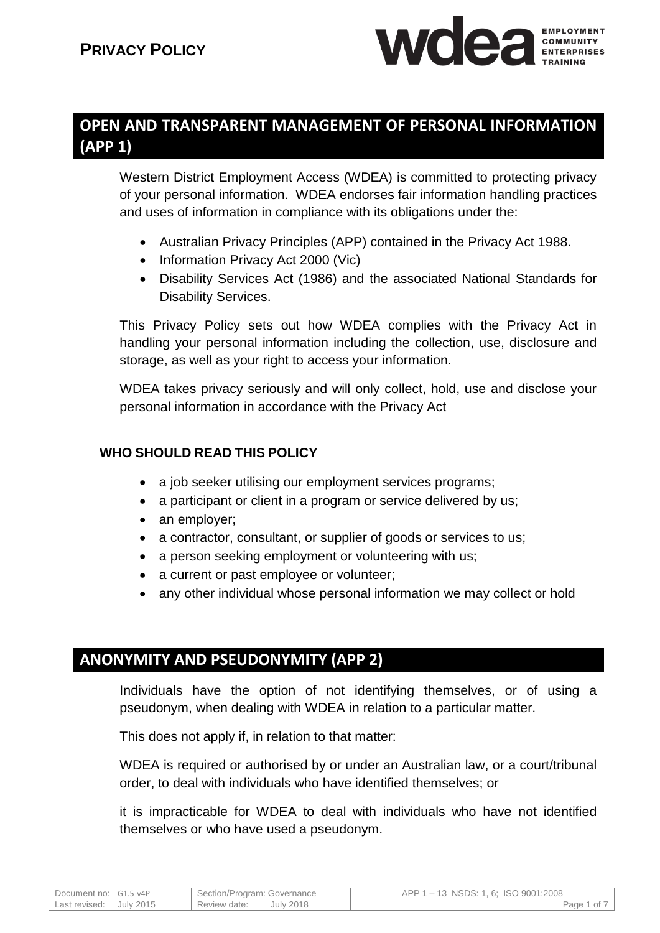

## **OPEN AND TRANSPARENT MANAGEMENT OF PERSONAL INFORMATION (APP 1)**

Western District Employment Access (WDEA) is committed to protecting privacy of your personal information. WDEA endorses fair information handling practices and uses of information in compliance with its obligations under the:

- Australian Privacy Principles (APP) contained in the Privacy Act 1988.
- Information Privacy Act 2000 (Vic)
- Disability Services Act (1986) and the associated National Standards for Disability Services.

This Privacy Policy sets out how WDEA complies with the Privacy Act in handling your personal information including the collection, use, disclosure and storage, as well as your right to access your information.

WDEA takes privacy seriously and will only collect, hold, use and disclose your personal information in accordance with the Privacy Act

#### **WHO SHOULD READ THIS POLICY**

- a job seeker utilising our employment services programs;
- a participant or client in a program or service delivered by us;
- an employer;
- a contractor, consultant, or supplier of goods or services to us;
- a person seeking employment or volunteering with us;
- a current or past employee or volunteer;
- any other individual whose personal information we may collect or hold

## **ANONYMITY AND PSEUDONYMITY (APP 2)**

Individuals have the option of not identifying themselves, or of using a pseudonym, when dealing with WDEA in relation to a particular matter.

This does not apply if, in relation to that matter:

WDEA is required or authorised by or under an Australian law, or a court/tribunal order, to deal with individuals who have identified themselves; or

it is impracticable for WDEA to deal with individuals who have not identified themselves or who have used a pseudonym.

| Document no: G1.5-y4P |           | Section/Program: Governance | APP 1-13 NSDS: 1, 6; ISO 9001:2008 |
|-----------------------|-----------|-----------------------------|------------------------------------|
| Last revised:         | July 2015 | July 2018<br>Review date:   | Page 1 of                          |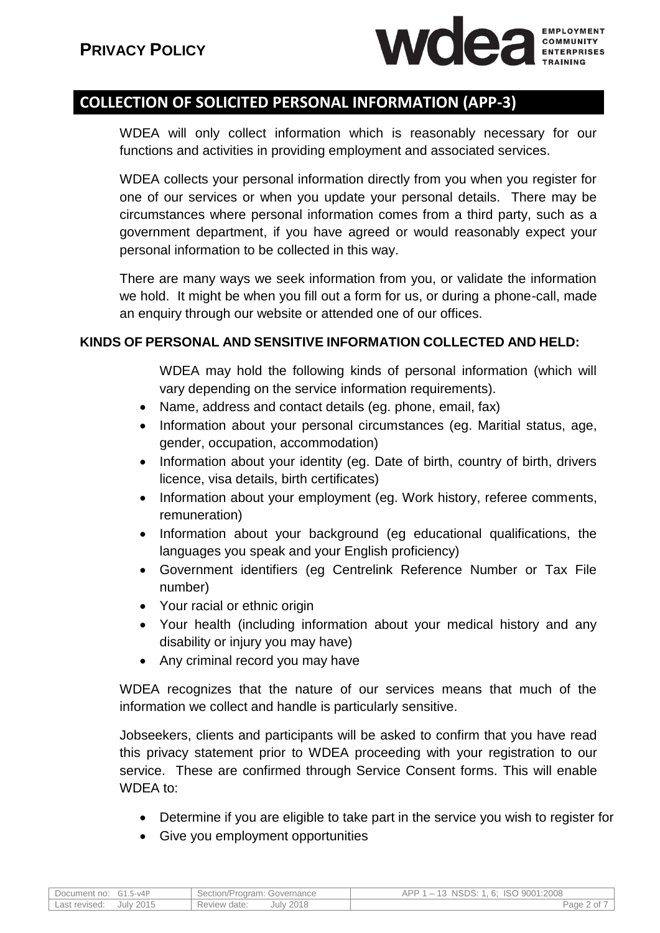

## **COLLECTION OF SOLICITED PERSONAL INFORMATION (APP-3)**

WDEA will only collect information which is reasonably necessary for our functions and activities in providing employment and associated services.

WDEA collects your personal information directly from you when you register for one of our services or when you update your personal details. There may be circumstances where personal information comes from a third party, such as a government department, if you have agreed or would reasonably expect your personal information to be collected in this way.

There are many ways we seek information from you, or validate the information we hold. It might be when you fill out a form for us, or during a phone-call, made an enquiry through our website or attended one of our offices.

#### **KINDS OF PERSONAL AND SENSITIVE INFORMATION COLLECTED AND HELD:**

WDEA may hold the following kinds of personal information (which will vary depending on the service information requirements).

- Name, address and contact details (eg. phone, email, fax)
- Information about your personal circumstances (eg. Maritial status, age, gender, occupation, accommodation)
- Information about your identity (eg. Date of birth, country of birth, drivers licence, visa details, birth certificates)
- Information about your employment (eq. Work history, referee comments, remuneration)
- Information about your background (eg educational qualifications, the languages you speak and your English proficiency)
- Government identifiers (eg Centrelink Reference Number or Tax File number)
- Your racial or ethnic origin
- Your health (including information about your medical history and any disability or injury you may have)
- Any criminal record you may have

WDEA recognizes that the nature of our services means that much of the information we collect and handle is particularly sensitive.

Jobseekers, clients and participants will be asked to confirm that you have read this privacy statement prior to WDEA proceeding with your registration to our service. These are confirmed through Service Consent forms. This will enable WDEA to:

- Determine if you are eligible to take part in the service you wish to register for
- Give you employment opportunities

| Document no: G1.5-y4P |           | Section/Program: Governance | APP 1 - 13 NSDS: 1, 6; ISO 9001:2008 |
|-----------------------|-----------|-----------------------------|--------------------------------------|
| Last revised:         | July 2015 | July 2018<br>Review date:   | Page 2 of                            |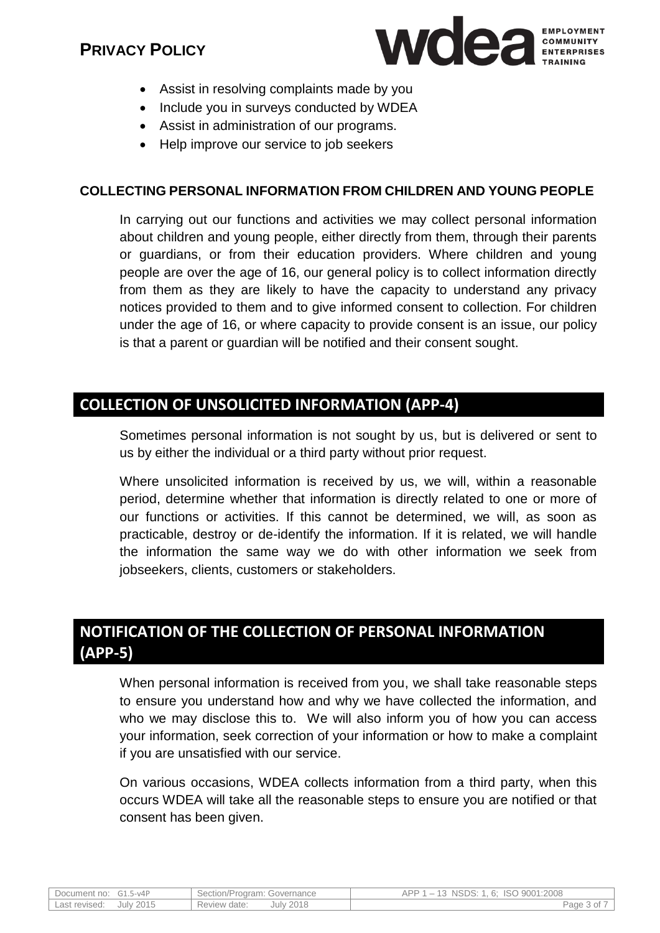# **PRIVACY POLICY**



- Assist in resolving complaints made by you
- Include you in surveys conducted by WDEA
- Assist in administration of our programs.
- Help improve our service to job seekers

#### **COLLECTING PERSONAL INFORMATION FROM CHILDREN AND YOUNG PEOPLE**

In carrying out our functions and activities we may collect personal information about children and young people, either directly from them, through their parents or guardians, or from their education providers. Where children and young people are over the age of 16, our general policy is to collect information directly from them as they are likely to have the capacity to understand any privacy notices provided to them and to give informed consent to collection. For children under the age of 16, or where capacity to provide consent is an issue, our policy is that a parent or guardian will be notified and their consent sought.

## **COLLECTION OF UNSOLICITED INFORMATION (APP-4)**

Sometimes personal information is not sought by us, but is delivered or sent to us by either the individual or a third party without prior request.

Where unsolicited information is received by us, we will, within a reasonable period, determine whether that information is directly related to one or more of our functions or activities. If this cannot be determined, we will, as soon as practicable, destroy or de-identify the information. If it is related, we will handle the information the same way we do with other information we seek from jobseekers, clients, customers or stakeholders.

# **NOTIFICATION OF THE COLLECTION OF PERSONAL INFORMATION (APP-5)**

When personal information is received from you, we shall take reasonable steps to ensure you understand how and why we have collected the information, and who we may disclose this to. We will also inform you of how you can access your information, seek correction of your information or how to make a complaint if you are unsatisfied with our service.

On various occasions, WDEA collects information from a third party, when this occurs WDEA will take all the reasonable steps to ensure you are notified or that consent has been given.

| Document no: G1.5-y4P |           | Section/Program: Governance | APP 1-13 NSDS: 1, 6: ISO 9001:2008 |
|-----------------------|-----------|-----------------------------|------------------------------------|
| Last revised:         | July 2015 | July 2018<br>Review date:   | Page 3 of                          |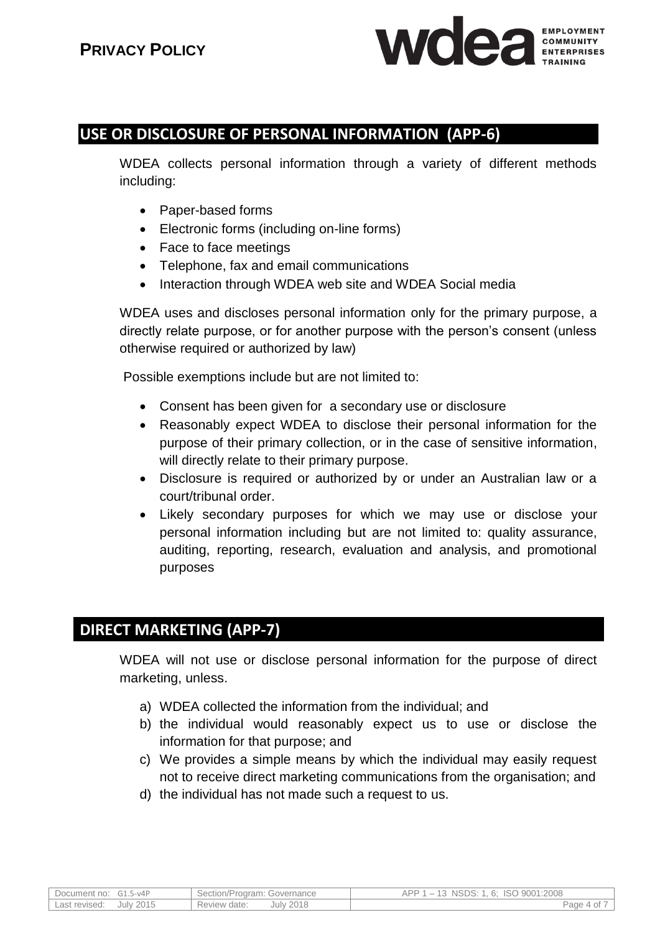

## **USE OR DISCLOSURE OF PERSONAL INFORMATION (APP-6)**

WDEA collects personal information through a variety of different methods including:

- Paper-based forms
- Electronic forms (including on-line forms)
- Face to face meetings
- Telephone, fax and email communications
- Interaction through WDEA web site and WDEA Social media

WDEA uses and discloses personal information only for the primary purpose, a directly relate purpose, or for another purpose with the person's consent (unless otherwise required or authorized by law)

Possible exemptions include but are not limited to:

- Consent has been given for a secondary use or disclosure
- Reasonably expect WDEA to disclose their personal information for the purpose of their primary collection, or in the case of sensitive information, will directly relate to their primary purpose.
- Disclosure is required or authorized by or under an Australian law or a court/tribunal order.
- Likely secondary purposes for which we may use or disclose your personal information including but are not limited to: quality assurance, auditing, reporting, research, evaluation and analysis, and promotional purposes

# **DIRECT MARKETING (APP-7)**

WDEA will not use or disclose personal information for the purpose of direct marketing, unless.

- a) WDEA collected the information from the individual; and
- b) the individual would reasonably expect us to use or disclose the information for that purpose; and
- c) We provides a simple means by which the individual may easily request not to receive direct marketing communications from the organisation; and
- d) the individual has not made such a request to us.

| Document no: G1.5-y4P      | Section/Program: Governance | APP 1-13 NSDS: 1, 6; ISO 9001:2008 |
|----------------------------|-----------------------------|------------------------------------|
| July 2015<br>Last revised: | July 2018<br>Review date:   | Page 4 of 7                        |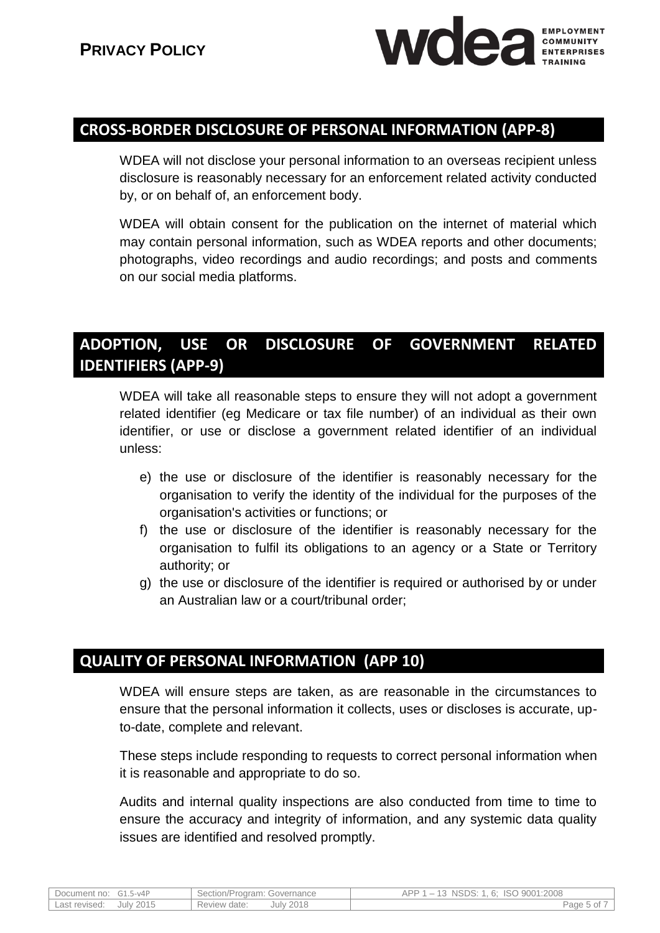

## **CROSS-BORDER DISCLOSURE OF PERSONAL INFORMATION (APP-8)**

WDEA will not disclose your personal information to an overseas recipient unless disclosure is reasonably necessary for an enforcement related activity conducted by, or on behalf of, an enforcement body.

WDEA will obtain consent for the publication on the internet of material which may contain personal information, such as WDEA reports and other documents; photographs, video recordings and audio recordings; and posts and comments on our social media platforms.

# **ADOPTION, USE OR DISCLOSURE OF GOVERNMENT RELATED IDENTIFIERS (APP-9)**

WDEA will take all reasonable steps to ensure they will not adopt a government related identifier (eg Medicare or tax file number) of an individual as their own identifier, or use or disclose a government related identifier of an individual unless:

- e) the use or disclosure of the identifier is reasonably necessary for the organisation to verify the identity of the individual for the purposes of the organisation's activities or functions; or
- f) the use or disclosure of the identifier is reasonably necessary for the organisation to fulfil its obligations to an agency or a State or Territory authority; or
- g) the use or disclosure of the identifier is required or authorised by or under an Australian law or a court/tribunal order;

## **QUALITY OF PERSONAL INFORMATION (APP 10)**

WDEA will ensure steps are taken, as are reasonable in the circumstances to ensure that the personal information it collects, uses or discloses is accurate, upto-date, complete and relevant.

These steps include responding to requests to correct personal information when it is reasonable and appropriate to do so.

Audits and internal quality inspections are also conducted from time to time to ensure the accuracy and integrity of information, and any systemic data quality issues are identified and resolved promptly.

| Document no: G1.5-y4P      | Section/Program: Governance | APP 1-13 NSDS: 1, 6; ISO 9001:2008 |
|----------------------------|-----------------------------|------------------------------------|
| July 2015<br>Last revised: | July 2018<br>Review date:   | Page 5 of 7                        |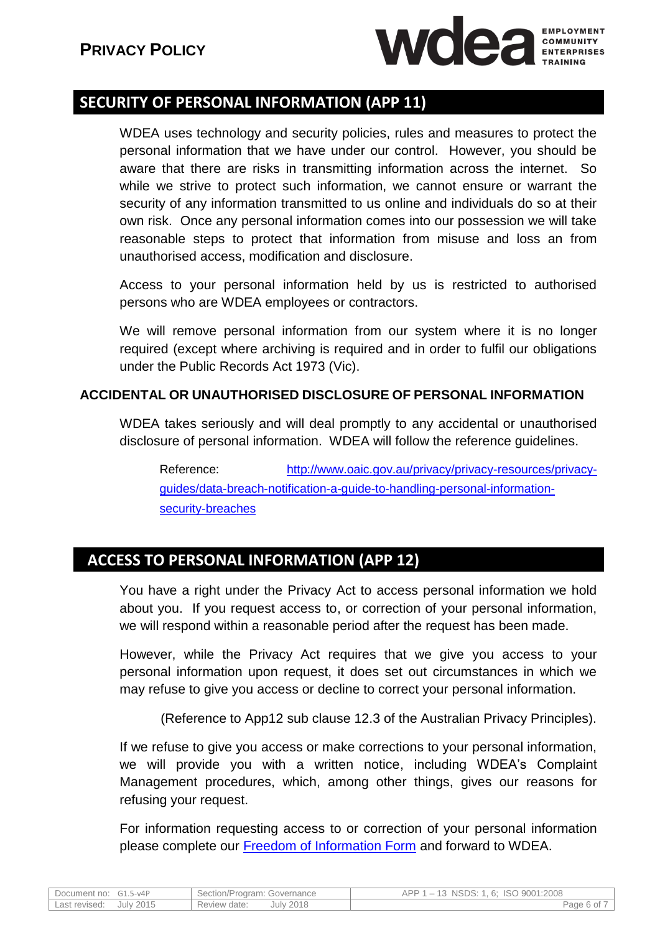

### **SECURITY OF PERSONAL INFORMATION (APP 11)**

WDEA uses technology and security policies, rules and measures to protect the personal information that we have under our control. However, you should be aware that there are risks in transmitting information across the internet. So while we strive to protect such information, we cannot ensure or warrant the security of any information transmitted to us online and individuals do so at their own risk. Once any personal information comes into our possession we will take reasonable steps to protect that information from misuse and loss an from unauthorised access, modification and disclosure.

Access to your personal information held by us is restricted to authorised persons who are WDEA employees or contractors.

We will remove personal information from our system where it is no longer required (except where archiving is required and in order to fulfil our obligations under the Public Records Act 1973 (Vic).

#### **ACCIDENTAL OR UNAUTHORISED DISCLOSURE OF PERSONAL INFORMATION**

WDEA takes seriously and will deal promptly to any accidental or unauthorised disclosure of personal information. WDEA will follow the reference guidelines.

Reference: [http://www.oaic.gov.au/privacy/privacy-resources/privacy](http://www.oaic.gov.au/privacy/privacy-resources/privacy-guides/data-breach-notification-a-guide-to-handling-personal-information-security-breaches)[guides/data-breach-notification-a-guide-to-handling-personal-information](http://www.oaic.gov.au/privacy/privacy-resources/privacy-guides/data-breach-notification-a-guide-to-handling-personal-information-security-breaches)[security-breaches](http://www.oaic.gov.au/privacy/privacy-resources/privacy-guides/data-breach-notification-a-guide-to-handling-personal-information-security-breaches)

### **ACCESS TO PERSONAL INFORMATION (APP 12)**

You have a right under the Privacy Act to access personal information we hold about you. If you request access to, or correction of your personal information, we will respond within a reasonable period after the request has been made.

However, while the Privacy Act requires that we give you access to your personal information upon request, it does set out circumstances in which we may refuse to give you access or decline to correct your personal information.

(Reference to App12 sub clause 12.3 of the Australian Privacy Principles).

If we refuse to give you access or make corrections to your personal information, we will provide you with a written notice, including WDEA's Complaint Management procedures, which, among other things, gives our reasons for refusing your request.

For information requesting access to or correction of your personal information please complete our [Freedom of Information Form](file://///wdea.local/shares/company%20shared%20folders/Operations%20Manual%20-%2020SEP2010/eProcedures/Quality%20Management/Document%20control/3.12%20-%20Information%20Access%20Request%20Form%20v3.doc) and forward to WDEA.

| Document no: G1.5-v4P             | Section/Program: Governance | - 13 NSDS: 1.6: ISO 9001:2008 |
|-----------------------------------|-----------------------------|-------------------------------|
| <b>July 2015</b><br>Last revised: | July 2018<br>Review date:   | Page u                        |